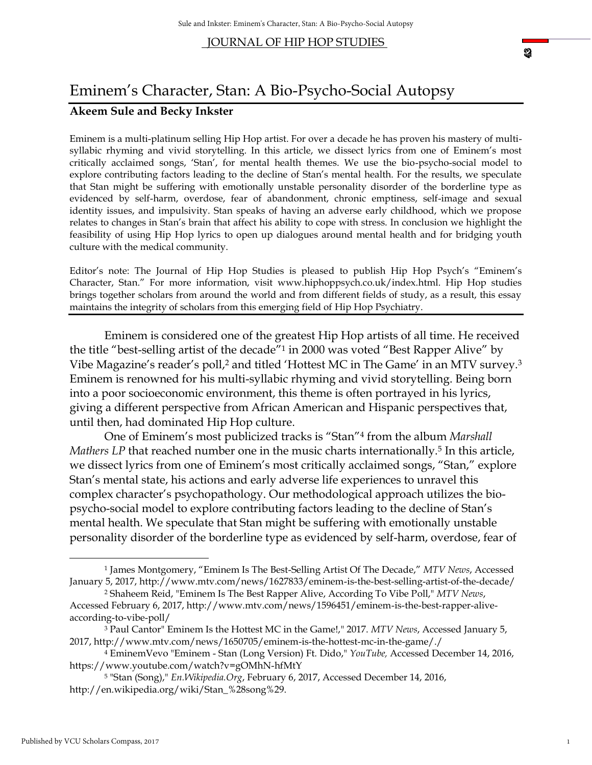# Eminem's Character, Stan: A Bio-Psycho-Social Autopsy

## **Akeem Sule and Becky Inkster**

Eminem is a multi-platinum selling Hip Hop artist. For over a decade he has proven his mastery of multisyllabic rhyming and vivid storytelling. In this article, we dissect lyrics from one of Eminem's most critically acclaimed songs, 'Stan', for mental health themes. We use the bio-psycho-social model to explore contributing factors leading to the decline of Stan's mental health. For the results, we speculate that Stan might be suffering with emotionally unstable personality disorder of the borderline type as evidenced by self-harm, overdose, fear of abandonment, chronic emptiness, self-image and sexual identity issues, and impulsivity. Stan speaks of having an adverse early childhood, which we propose relates to changes in Stan's brain that affect his ability to cope with stress. In conclusion we highlight the feasibility of using Hip Hop lyrics to open up dialogues around mental health and for bridging youth culture with the medical community.

Editor's note: The Journal of Hip Hop Studies is pleased to publish Hip Hop Psych's "Eminem's Character, Stan." For more information, visit www.hiphoppsych.co.uk/index.html. Hip Hop studies brings together scholars from around the world and from different fields of study, as a result, this essay maintains the integrity of scholars from this emerging field of Hip Hop Psychiatry.

Eminem is considered one of the greatest Hip Hop artists of all time. He received the title "best-selling artist of the decade"<sup>1</sup> in 2000 was voted "Best Rapper Alive" by Vibe Magazine's reader's poll,<sup>2</sup> and titled 'Hottest MC in The Game' in an MTV survey.<sup>3</sup> Eminem is renowned for his multi-syllabic rhyming and vivid storytelling. Being born into a poor socioeconomic environment, this theme is often portrayed in his lyrics, giving a different perspective from African American and Hispanic perspectives that, until then, had dominated Hip Hop culture.

One of Eminem's most publicized tracks is "Stan"<sup>4</sup> from the album *Marshall Mathers LP* that reached number one in the music charts internationally.<sup>5</sup> In this article, we dissect lyrics from one of Eminem's most critically acclaimed songs, "Stan," explore Stan's mental state, his actions and early adverse life experiences to unravel this complex character's psychopathology. Our methodological approach utilizes the biopsycho-social model to explore contributing factors leading to the decline of Stan's mental health. We speculate that Stan might be suffering with emotionally unstable personality disorder of the borderline type as evidenced by self-harm, overdose, fear of

 $\overline{\phantom{a}}$ 

<sup>1</sup> James Montgomery, "Eminem Is The Best-Selling Artist Of The Decade," *MTV News*, Accessed January 5, 2017, http://www.mtv.com/news/1627833/eminem-is-the-best-selling-artist-of-the-decade/

<sup>2</sup> Shaheem Reid, "Eminem Is The Best Rapper Alive, According To Vibe Poll," *MTV News*, Accessed February 6, 2017, http://www.mtv.com/news/1596451/eminem-is-the-best-rapper-aliveaccording-to-vibe-poll/

<sup>3</sup> Paul Cantor" Eminem Is the Hottest MC in the Game!," 2017. *MTV News*, Accessed January 5, 2017, http://www.mtv.com/news/1650705/eminem-is-the-hottest-mc-in-the-game/./

<sup>4</sup> EminemVevo "Eminem - Stan (Long Version) Ft. Dido," *YouTube,* Accessed December 14, 2016, https://www.youtube.com/watch?v=gOMhN-hfMtY

<sup>5</sup> "Stan (Song)," *En.Wikipedia.Org*, February 6, 2017, Accessed December 14, 2016, http://en.wikipedia.org/wiki/Stan\_%28song%29.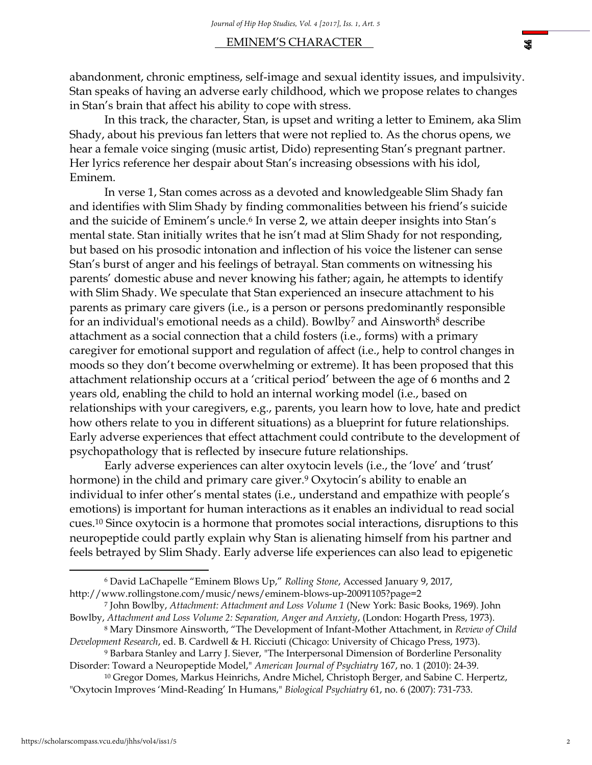#### EMINEM'S CHARACTER .

abandonment, chronic emptiness, self-image and sexual identity issues, and impulsivity. Stan speaks of having an adverse early childhood, which we propose relates to changes in Stan's brain that affect his ability to cope with stress.

In this track, the character, Stan, is upset and writing a letter to Eminem, aka Slim Shady, about his previous fan letters that were not replied to. As the chorus opens, we hear a female voice singing (music artist, Dido) representing Stan's pregnant partner. Her lyrics reference her despair about Stan's increasing obsessions with his idol, Eminem.

In verse 1, Stan comes across as a devoted and knowledgeable Slim Shady fan and identifies with Slim Shady by finding commonalities between his friend's suicide and the suicide of Eminem's uncle.<sup>6</sup> In verse 2, we attain deeper insights into Stan's mental state. Stan initially writes that he isn't mad at Slim Shady for not responding, but based on his prosodic intonation and inflection of his voice the listener can sense Stan's burst of anger and his feelings of betrayal. Stan comments on witnessing his parents' domestic abuse and never knowing his father; again, he attempts to identify with Slim Shady. We speculate that Stan experienced an insecure attachment to his parents as primary care givers (i.e., is a person or persons predominantly responsible for an individual's emotional needs as a child). Bowlby<sup>7</sup> and Ainsworth<sup>8</sup> describe attachment as a social connection that a child fosters (i.e., forms) with a primary caregiver for emotional support and regulation of affect (i.e., help to control changes in moods so they don't become overwhelming or extreme). It has been proposed that this attachment relationship occurs at a 'critical period' between the age of 6 months and 2 years old, enabling the child to hold an internal working model (i.e., based on relationships with your caregivers, e.g., parents, you learn how to love, hate and predict how others relate to you in different situations) as a blueprint for future relationships. Early adverse experiences that effect attachment could contribute to the development of psychopathology that is reflected by insecure future relationships.

Early adverse experiences can alter oxytocin levels (i.e., the 'love' and 'trust' hormone) in the child and primary care giver.<sup>9</sup> Oxytocin's ability to enable an individual to infer other's mental states (i.e., understand and empathize with people's emotions) is important for human interactions as it enables an individual to read social cues.<sup>10</sup> Since oxytocin is a hormone that promotes social interactions, disruptions to this neuropeptide could partly explain why Stan is alienating himself from his partner and feels betrayed by Slim Shady. Early adverse life experiences can also lead to epigenetic

 $\overline{a}$ 

\$

<sup>6</sup> David LaChapelle "Eminem Blows Up," *Rolling Stone*, Accessed January 9, 2017, http://www.rollingstone.com/music/news/eminem-blows-up-20091105?page=2

<sup>7</sup> John Bowlby, *Attachment: Attachment and Loss Volume 1* (New York: Basic Books, 1969). John Bowlby, *Attachment and Loss Volume 2: Separation, Anger and Anxiety*, (London: Hogarth Press, 1973).

<sup>8</sup> Mary Dinsmore Ainsworth, "The Development of Infant-Mother Attachment, in *Review of Child Development Research*, ed. B. Cardwell & H. Ricciuti (Chicago: University of Chicago Press, 1973).

<sup>9</sup> Barbara Stanley and Larry J. Siever, "The Interpersonal Dimension of Borderline Personality Disorder: Toward a Neuropeptide Model," *American Journal of Psychiatry* 167, no. 1 (2010): 24-39.

<sup>&</sup>lt;sup>10</sup> Gregor Domes, Markus Heinrichs, Andre Michel, Christoph Berger, and Sabine C. Herpertz, "Oxytocin Improves 'Mind-Reading' In Humans," *Biological Psychiatry* 61, no. 6 (2007): 731-733.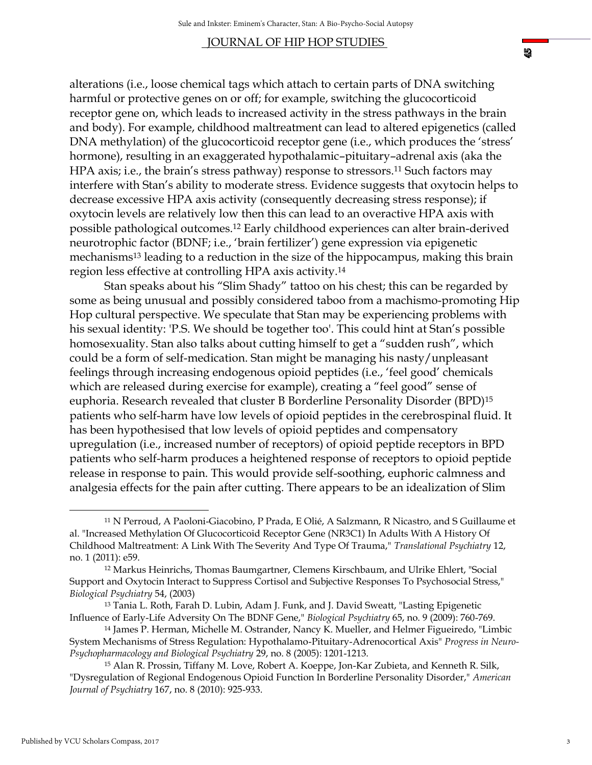alterations (i.e., loose chemical tags which attach to certain parts of DNA switching harmful or protective genes on or off; for example, switching the glucocorticoid receptor gene on, which leads to increased activity in the stress pathways in the brain and body). For example, childhood maltreatment can lead to altered epigenetics (called DNA methylation) of the glucocorticoid receptor gene (i.e., which produces the 'stress' hormone), resulting in an exaggerated hypothalamic–pituitary–adrenal axis (aka the HPA axis; i.e., the brain's stress pathway) response to stressors.<sup>11</sup> Such factors may interfere with Stan's ability to moderate stress. Evidence suggests that oxytocin helps to decrease excessive HPA axis activity (consequently decreasing stress response); if oxytocin levels are relatively low then this can lead to an overactive HPA axis with possible pathological outcomes.<sup>12</sup> Early childhood experiences can alter brain-derived neurotrophic factor (BDNF; i.e., 'brain fertilizer') gene expression via epigenetic mechanisms<sup>13</sup> leading to a reduction in the size of the hippocampus, making this brain region less effective at controlling HPA axis activity.<sup>14</sup>

Stan speaks about his "Slim Shady" tattoo on his chest; this can be regarded by some as being unusual and possibly considered taboo from a machismo-promoting Hip Hop cultural perspective. We speculate that Stan may be experiencing problems with his sexual identity: 'P.S. We should be together too'. This could hint at Stan's possible homosexuality. Stan also talks about cutting himself to get a "sudden rush", which could be a form of self-medication. Stan might be managing his nasty/unpleasant feelings through increasing endogenous opioid peptides (i.e., 'feel good' chemicals which are released during exercise for example), creating a "feel good" sense of euphoria. Research revealed that cluster B Borderline Personality Disorder (BPD)<sup>15</sup> patients who self-harm have low levels of opioid peptides in the cerebrospinal fluid. It has been hypothesised that low levels of opioid peptides and compensatory upregulation (i.e., increased number of receptors) of opioid peptide receptors in BPD patients who self-harm produces a heightened response of receptors to opioid peptide release in response to pain. This would provide self-soothing, euphoric calmness and analgesia effects for the pain after cutting. There appears to be an idealization of Slim

l

<sup>11</sup> N Perroud, A Paoloni-Giacobino, P Prada, E Olié, A Salzmann, R Nicastro, and S Guillaume et al. "Increased Methylation Of Glucocorticoid Receptor Gene (NR3C1) In Adults With A History Of Childhood Maltreatment: A Link With The Severity And Type Of Trauma," *Translational Psychiatry* 12, no. 1 (2011): e59.

<sup>12</sup> Markus Heinrichs, Thomas Baumgartner, Clemens Kirschbaum, and Ulrike Ehlert, "Social Support and Oxytocin Interact to Suppress Cortisol and Subjective Responses To Psychosocial Stress," *Biological Psychiatry* 54, (2003)

<sup>13</sup> Tania L. Roth, Farah D. Lubin, Adam J. Funk, and J. David Sweatt, "Lasting Epigenetic Influence of Early-Life Adversity On The BDNF Gene," *Biological Psychiatry* 65, no. 9 (2009): 760-769.

<sup>14</sup> James P. Herman, Michelle M. Ostrander, Nancy K. Mueller, and Helmer Figueiredo, "Limbic System Mechanisms of Stress Regulation: Hypothalamo-Pituitary-Adrenocortical Axis" *Progress in Neuro-Psychopharmacology and Biological Psychiatry* 29, no. 8 (2005): 1201-1213.

<sup>15</sup> Alan R. Prossin, Tiffany M. Love, Robert A. Koeppe, Jon-Kar Zubieta, and Kenneth R. Silk, "Dysregulation of Regional Endogenous Opioid Function In Borderline Personality Disorder," *American Journal of Psychiatry* 167, no. 8 (2010): 925-933.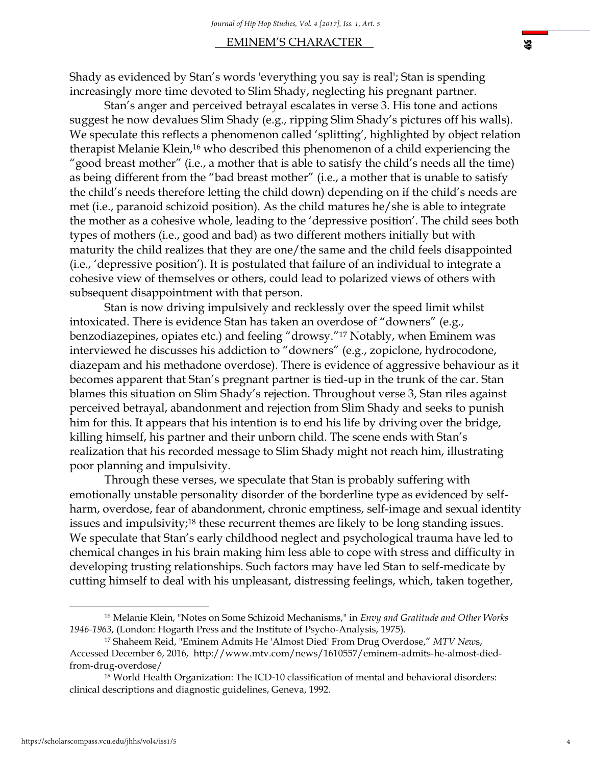### EMINEM'S CHARACTER .

Shady as evidenced by Stan's words 'everything you say is real'; Stan is spending increasingly more time devoted to Slim Shady, neglecting his pregnant partner.

Stan's anger and perceived betrayal escalates in verse 3. His tone and actions suggest he now devalues Slim Shady (e.g., ripping Slim Shady's pictures off his walls). We speculate this reflects a phenomenon called 'splitting', highlighted by object relation therapist Melanie Klein,<sup>16</sup> who described this phenomenon of a child experiencing the "good breast mother" (i.e., a mother that is able to satisfy the child's needs all the time) as being different from the "bad breast mother" (i.e., a mother that is unable to satisfy the child's needs therefore letting the child down) depending on if the child's needs are met (i.e., paranoid schizoid position). As the child matures he/she is able to integrate the mother as a cohesive whole, leading to the 'depressive position'. The child sees both types of mothers (i.e., good and bad) as two different mothers initially but with maturity the child realizes that they are one/the same and the child feels disappointed (i.e., 'depressive position'). It is postulated that failure of an individual to integrate a cohesive view of themselves or others, could lead to polarized views of others with subsequent disappointment with that person.

Stan is now driving impulsively and recklessly over the speed limit whilst intoxicated. There is evidence Stan has taken an overdose of "downers" (e.g., benzodiazepines, opiates etc.) and feeling "drowsy."<sup>17</sup> Notably, when Eminem was interviewed he discusses his addiction to "downers" (e.g., zopiclone, hydrocodone, diazepam and his methadone overdose). There is evidence of aggressive behaviour as it becomes apparent that Stan's pregnant partner is tied-up in the trunk of the car. Stan blames this situation on Slim Shady's rejection. Throughout verse 3, Stan riles against perceived betrayal, abandonment and rejection from Slim Shady and seeks to punish him for this. It appears that his intention is to end his life by driving over the bridge, killing himself, his partner and their unborn child. The scene ends with Stan's realization that his recorded message to Slim Shady might not reach him, illustrating poor planning and impulsivity.

Through these verses, we speculate that Stan is probably suffering with emotionally unstable personality disorder of the borderline type as evidenced by selfharm, overdose, fear of abandonment, chronic emptiness, self-image and sexual identity issues and impulsivity;<sup>18</sup> these recurrent themes are likely to be long standing issues. We speculate that Stan's early childhood neglect and psychological trauma have led to chemical changes in his brain making him less able to cope with stress and difficulty in developing trusting relationships. Such factors may have led Stan to self-medicate by cutting himself to deal with his unpleasant, distressing feelings, which, taken together,

l

<sup>16</sup> Melanie Klein, "Notes on Some Schizoid Mechanisms," in *Envy and Gratitude and Other Works 1946-1963*, (London: Hogarth Press and the Institute of Psycho-Analysis, 1975).

<sup>17</sup> Shaheem Reid, "Eminem Admits He 'Almost Died' From Drug Overdose," *MTV New*s, Accessed December 6, 2016, http://www.mtv.com/news/1610557/eminem-admits-he-almost-diedfrom-drug-overdose/

<sup>&</sup>lt;sup>18</sup> World Health Organization: The ICD-10 classification of mental and behavioral disorders: clinical descriptions and diagnostic guidelines, Geneva, 1992.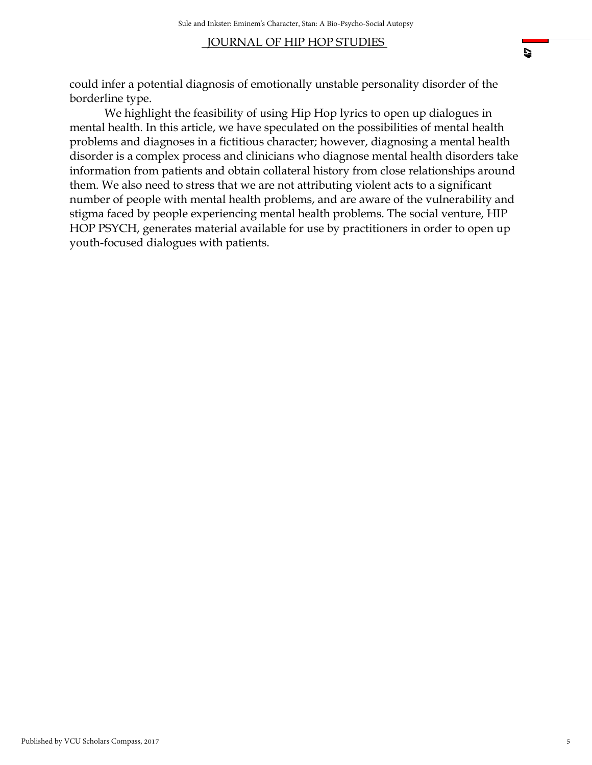could infer a potential diagnosis of emotionally unstable personality disorder of the borderline type.

We highlight the feasibility of using Hip Hop lyrics to open up dialogues in mental health. In this article, we have speculated on the possibilities of mental health problems and diagnoses in a fictitious character; however, diagnosing a mental health disorder is a complex process and clinicians who diagnose mental health disorders take information from patients and obtain collateral history from close relationships around them. We also need to stress that we are not attributing violent acts to a significant number of people with mental health problems, and are aware of the vulnerability and stigma faced by people experiencing mental health problems. The social venture, HIP HOP PSYCH, generates material available for use by practitioners in order to open up youth-focused dialogues with patients.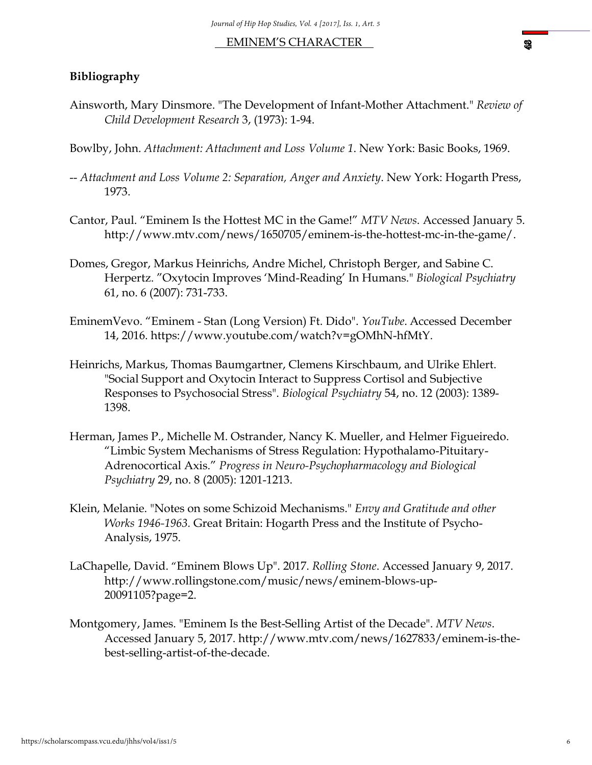#### EMINEM'S CHARACTER .

#### **Bibliography**

Ainsworth, Mary Dinsmore. "The Development of Infant-Mother Attachment." *Review of Child Development Research* 3, (1973): 1-94.

Bowlby, John. *Attachment: Attachment and Loss Volume 1*. New York: Basic Books, 1969.

- -- *Attachment and Loss Volume 2: Separation, Anger and Anxiety*. New York: Hogarth Press, 1973.
- Cantor, Paul. "Eminem Is the Hottest MC in the Game!" *MTV News*. Accessed January 5. http://www.mtv.com/news/1650705/eminem-is-the-hottest-mc-in-the-game/.
- Domes, Gregor, Markus Heinrichs, Andre Michel, Christoph Berger, and Sabine C. Herpertz. "Oxytocin Improves 'Mind-Reading' In Humans." *Biological Psychiatry* 61, no. 6 (2007): 731-733.
- EminemVevo. "Eminem Stan (Long Version) Ft. Dido". *YouTube*. Accessed December 14, 2016. https://www.youtube.com/watch?v=gOMhN-hfMtY.
- Heinrichs, Markus, Thomas Baumgartner, Clemens Kirschbaum, and Ulrike Ehlert. "Social Support and Oxytocin Interact to Suppress Cortisol and Subjective Responses to Psychosocial Stress". *Biological Psychiatry* 54, no. 12 (2003): 1389- 1398.
- Herman, James P., Michelle M. Ostrander, Nancy K. Mueller, and Helmer Figueiredo. "Limbic System Mechanisms of Stress Regulation: Hypothalamo-Pituitary-Adrenocortical Axis." *Progress in Neuro-Psychopharmacology and Biological Psychiatry* 29, no. 8 (2005): 1201-1213.
- Klein, Melanie. "Notes on some Schizoid Mechanisms." *Envy and Gratitude and other Works 1946-1963.* Great Britain: Hogarth Press and the Institute of Psycho-Analysis, 1975.
- LaChapelle, David. "Eminem Blows Up". 2017. *Rolling Stone*. Accessed January 9, 2017. http://www.rollingstone.com/music/news/eminem-blows-up-20091105?page=2.
- Montgomery, James. "Eminem Is the Best-Selling Artist of the Decade". *MTV News*. Accessed January 5, 2017. [http://www.mtv.com/news/1627833/eminem-is-the](http://www.mtv.com/news/1627833/eminem-is-the-best-selling-artist-of-the-decade)[best-selling-artist-of-the-decade.](http://www.mtv.com/news/1627833/eminem-is-the-best-selling-artist-of-the-decade)